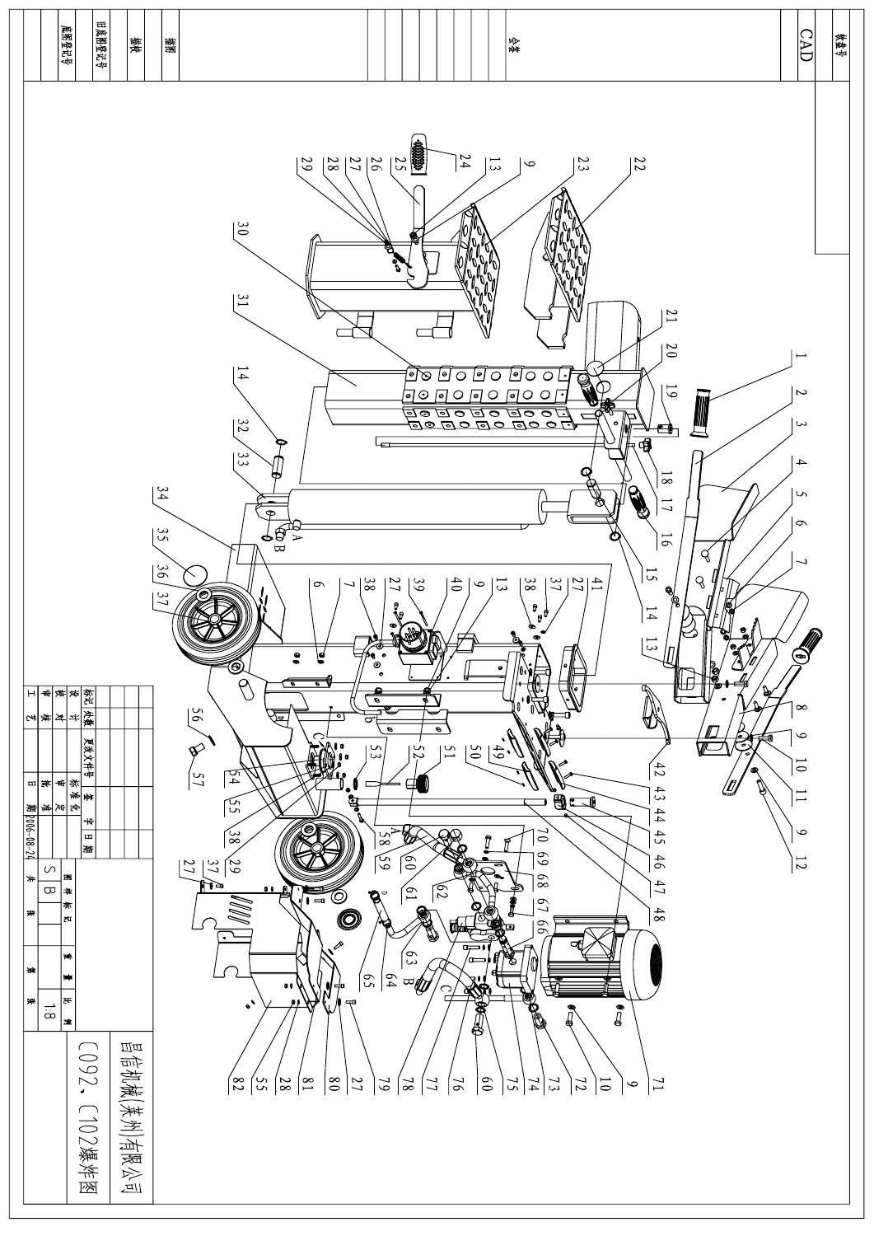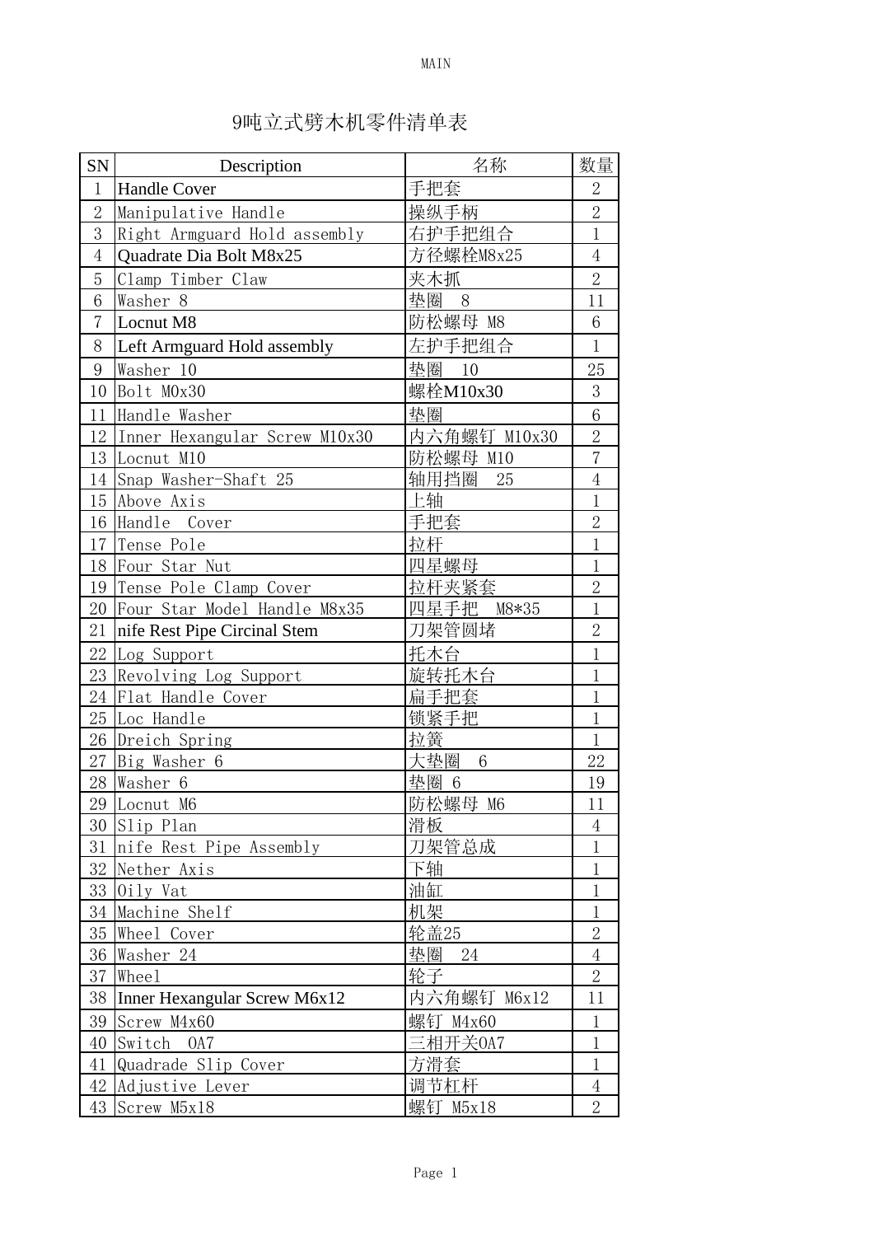| SN             | Description                   | 名称                     | 数量             |
|----------------|-------------------------------|------------------------|----------------|
| $\mathbf{1}$   | <b>Handle Cover</b>           | 手把套                    | $\overline{2}$ |
| $\overline{2}$ | Manipulative Handle           | 操纵手柄                   | $\overline{2}$ |
| 3              | Right Armguard Hold assembly  | 右护手把组合                 | $\mathbf{1}$   |
| $\overline{4}$ | Quadrate Dia Bolt M8x25       | 方径螺栓M8x25              | $\overline{4}$ |
| 5              | Clamp Timber Claw             | 夹木抓                    | $\overline{2}$ |
| 6              | Washer 8                      | 垫圈 8                   | 11             |
| $\overline{7}$ | Locnut M8                     | 防松螺母 M8                | 6              |
| 8              | Left Armguard Hold assembly   | 左护手把组合                 | $\mathbf{1}$   |
| 9              | Washer 10                     | 垫圈 10                  | 25             |
| 10             | Bolt M0x30                    | 螺栓M10x30               | 3              |
| 11             | Handle Washer                 | 垫圈                     | $\overline{6}$ |
| 12             | Inner Hexangular Screw M10x30 | 内六角螺钉 M10x30           | $\overline{2}$ |
|                | 13 Locnut M10                 | 防松螺母 M10               | $\overline{7}$ |
|                | 14 Snap Washer-Shaft 25       | 轴用挡圈<br>25             | $\,4\,$        |
| 15             | Above Axis                    | 上轴                     | $\mathbf{1}$   |
|                | 16 Handle Cover               | 手把套                    | $\overline{2}$ |
|                | 17 Tense Pole                 | 拉杆                     | $\mathbf{1}$   |
|                | 18 Four Star Nut              | 四星螺母                   | $\mathbf{1}$   |
|                | 19 Tense Pole Clamp Cover     | 拉杆夹紧套                  | $\overline{2}$ |
| 20             | Four Star Model Handle M8x35  | 四星手把 M8*35             | $\mathbf{1}$   |
| 21             | nife Rest Pipe Circinal Stem  | 刀架管圆堵                  | $\overline{2}$ |
| 22             | Log Support                   | 托木台                    | $\mathbf{1}$   |
| 23             | Revolving Log Support         | 旋转托木台                  | $\mathbf 1$    |
| 24             | Flat Handle Cover             | 扁手把套                   | $\mathbf{1}$   |
| 25             | Loc Handle                    | 锁紧手把                   | $\mathbf{1}$   |
|                | 26 Dreich Spring              | 拉簧                     | $\mathbf{1}$   |
| 27             | Big Washer 6                  | 大垫圈<br>$6\phantom{1}6$ | 22             |
| 28             | Washer 6                      | 垫圈 6                   | 19             |
|                | 29 Locnut M6                  | 防松螺母 M6                | 11             |
|                | 30 Slip Plan                  | 滑板                     | $\overline{4}$ |
|                | 31 nife Rest Pipe Assembly    | 刀架管总成                  | $\mathbf{1}$   |
|                | 32 Nether Axis                | 下轴                     | $\mathbf{1}$   |
|                | 33 Oily Vat                   | 油缸                     | 1              |
| 34             | Machine Shelf                 | 机架                     | $\mathbf{1}$   |
|                | 35 Wheel Cover                | 轮盖25                   | $\overline{2}$ |
|                | 36 Washer 24                  | 垫圈<br>- 24             | $\overline{4}$ |
| 37             | Wheel                         | 轮子                     | $\overline{2}$ |
| 38             | Inner Hexangular Screw M6x12  | 内六角螺钉 M6x12            | 11             |
| 39             | Screw M4x60                   | 螺钉 M4x60               | $\,1$          |
| 40             | Switch 0A7                    | 三相开关0A7                | $\mathbf{1}$   |
| 41             | Quadrade Slip Cover           | 方滑套                    | $\mathbf 1$    |
| 42             | Adjustive Lever               | 调节杠杆                   | $\overline{4}$ |
| 43             | Screw M5x18                   | 螺钉 M5x18               | $\overline{2}$ |

## 9吨立式劈木机零件清单表